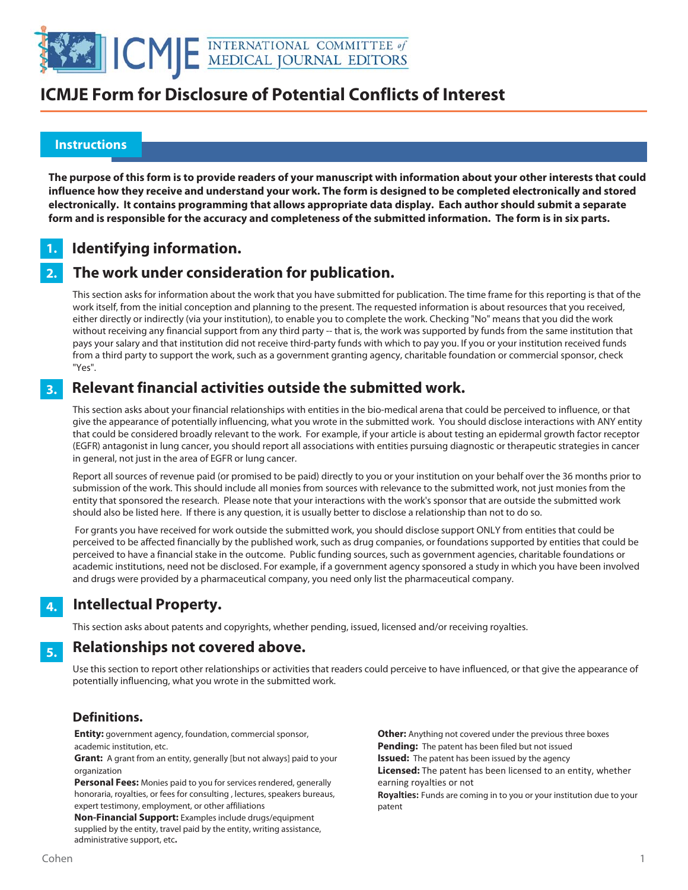

#### **Instructions**

 

> **The purpose of this form is to provide readers of your manuscript with information about your other interests that could influence how they receive and understand your work. The form is designed to be completed electronically and stored electronically. It contains programming that allows appropriate data display. Each author should submit a separate form and is responsible for the accuracy and completeness of the submitted information. The form is in six parts.**

#### **Identifying information. 1.**

#### **The work under consideration for publication. 2.**

This section asks for information about the work that you have submitted for publication. The time frame for this reporting is that of the work itself, from the initial conception and planning to the present. The requested information is about resources that you received, either directly or indirectly (via your institution), to enable you to complete the work. Checking "No" means that you did the work without receiving any financial support from any third party -- that is, the work was supported by funds from the same institution that pays your salary and that institution did not receive third-party funds with which to pay you. If you or your institution received funds from a third party to support the work, such as a government granting agency, charitable foundation or commercial sponsor, check "Yes".

#### **Relevant financial activities outside the submitted work. 3.**

This section asks about your financial relationships with entities in the bio-medical arena that could be perceived to influence, or that give the appearance of potentially influencing, what you wrote in the submitted work. You should disclose interactions with ANY entity that could be considered broadly relevant to the work. For example, if your article is about testing an epidermal growth factor receptor (EGFR) antagonist in lung cancer, you should report all associations with entities pursuing diagnostic or therapeutic strategies in cancer in general, not just in the area of EGFR or lung cancer.

Report all sources of revenue paid (or promised to be paid) directly to you or your institution on your behalf over the 36 months prior to submission of the work. This should include all monies from sources with relevance to the submitted work, not just monies from the entity that sponsored the research. Please note that your interactions with the work's sponsor that are outside the submitted work should also be listed here. If there is any question, it is usually better to disclose a relationship than not to do so.

 For grants you have received for work outside the submitted work, you should disclose support ONLY from entities that could be perceived to be affected financially by the published work, such as drug companies, or foundations supported by entities that could be perceived to have a financial stake in the outcome. Public funding sources, such as government agencies, charitable foundations or academic institutions, need not be disclosed. For example, if a government agency sponsored a study in which you have been involved and drugs were provided by a pharmaceutical company, you need only list the pharmaceutical company.

#### **Intellectual Property. 4.**

This section asks about patents and copyrights, whether pending, issued, licensed and/or receiving royalties.

#### **Relationships not covered above. 5.**

Use this section to report other relationships or activities that readers could perceive to have influenced, or that give the appearance of potentially influencing, what you wrote in the submitted work.

### **Definitions.**

**Entity:** government agency, foundation, commercial sponsor, academic institution, etc.

**Grant:** A grant from an entity, generally [but not always] paid to your organization

**Personal Fees:** Monies paid to you for services rendered, generally honoraria, royalties, or fees for consulting , lectures, speakers bureaus, expert testimony, employment, or other affiliations

**Non-Financial Support:** Examples include drugs/equipment supplied by the entity, travel paid by the entity, writing assistance, administrative support, etc**.**

**Other:** Anything not covered under the previous three boxes **Pending:** The patent has been filed but not issued **Issued:** The patent has been issued by the agency **Licensed:** The patent has been licensed to an entity, whether earning royalties or not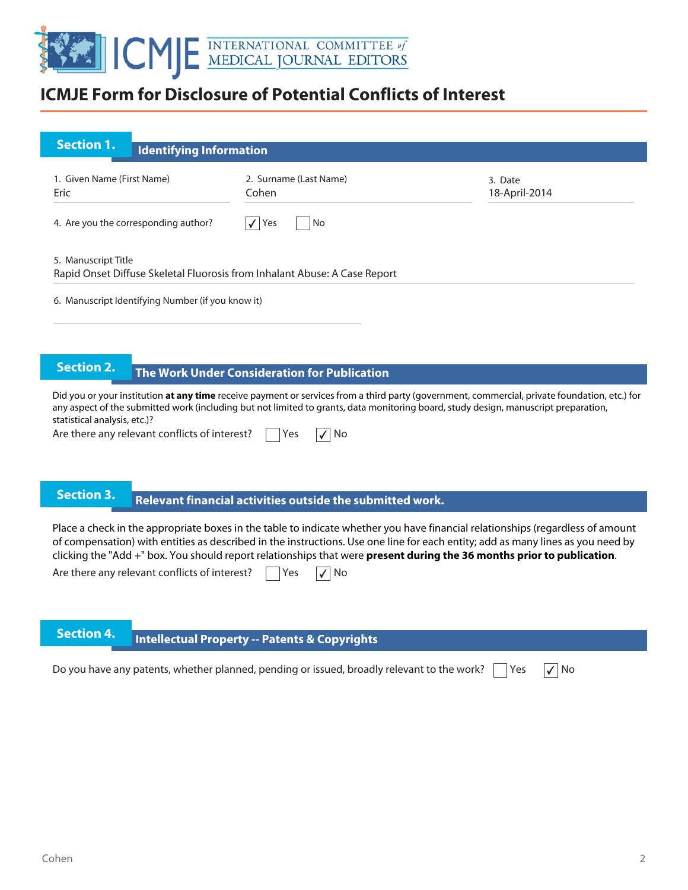

| <b>Section 1.</b>                                        | <b>Identifying Information</b>                    |                                                                           |                          |  |  |  |
|----------------------------------------------------------|---------------------------------------------------|---------------------------------------------------------------------------|--------------------------|--|--|--|
| 1. Given Name (First Name)<br>Eric                       |                                                   | 2. Surname (Last Name)<br>Cohen                                           | 3. Date<br>18-April-2014 |  |  |  |
| $\sqrt{Y}$<br>4. Are you the corresponding author?<br>No |                                                   |                                                                           |                          |  |  |  |
| 5. Manuscript Title                                      |                                                   | Rapid Onset Diffuse Skeletal Fluorosis from Inhalant Abuse: A Case Report |                          |  |  |  |
|                                                          | 6. Manuscript Identifying Number (if you know it) |                                                                           |                          |  |  |  |

### **The Work Under Consideration for Publication**

Did you or your institution **at any time** receive payment or services from a third party (government, commercial, private foundation, etc.) for any aspect of the submitted work (including but not limited to grants, data monitoring board, study design, manuscript preparation, statistical analysis, etc.)?

Are there any relevant conflicts of interest?  $\Box$  Yes  $\Box$  No

## **Relevant financial activities outside the submitted work. Section 3. Relevant financial activities outset**

Place a check in the appropriate boxes in the table to indicate whether you have financial relationships (regardless of amount of compensation) with entities as described in the instructions. Use one line for each entity; add as many lines as you need by clicking the "Add +" box. You should report relationships that were **present during the 36 months prior to publication**.

Are there any relevant conflicts of interest?  $\Box$  Yes  $\Box$  No

## **Intellectual Property -- Patents & Copyrights**

Do you have any patents, whether planned, pending or issued, broadly relevant to the work?  $\vert \ \vert$  Yes  $\vert \sqrt{\vert N}$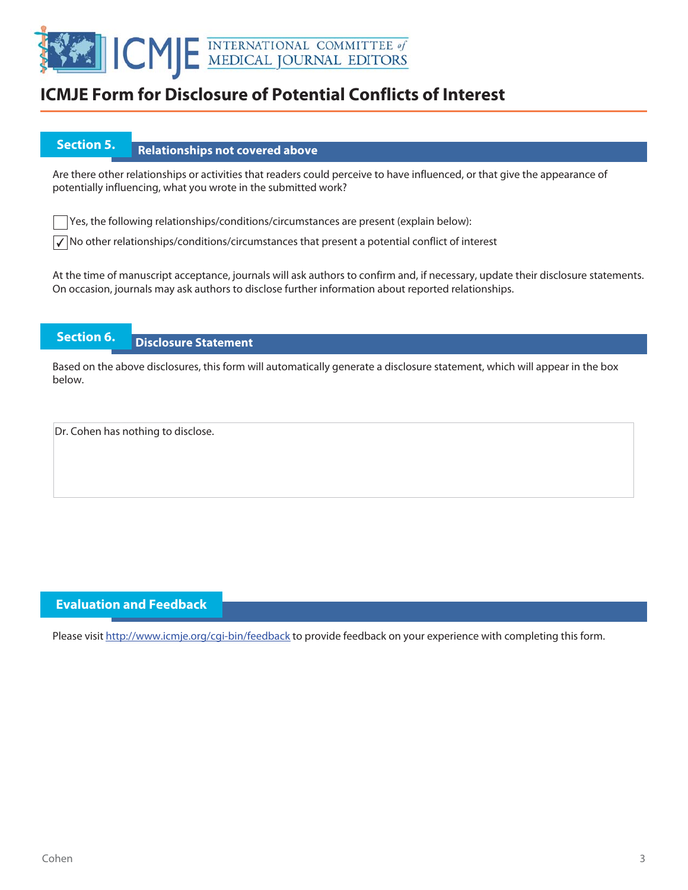

### **Section 5.** Relationships not covered above

Are there other relationships or activities that readers could perceive to have influenced, or that give the appearance of potentially influencing, what you wrote in the submitted work?

Yes, the following relationships/conditions/circumstances are present (explain below):

 $\sqrt{\ }$  No other relationships/conditions/circumstances that present a potential conflict of interest

At the time of manuscript acceptance, journals will ask authors to confirm and, if necessary, update their disclosure statements. On occasion, journals may ask authors to disclose further information about reported relationships.

### **Section 6. Disclosure Statement**

Based on the above disclosures, this form will automatically generate a disclosure statement, which will appear in the box below.

Dr. Cohen has nothing to disclose.

### **Evaluation and Feedback**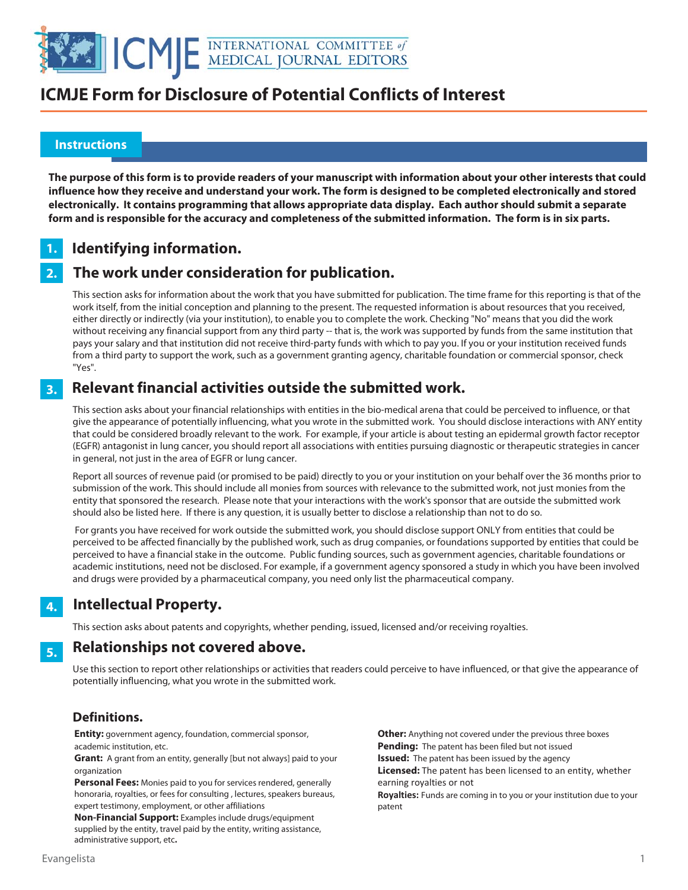

#### **Instructions**

 

> **The purpose of this form is to provide readers of your manuscript with information about your other interests that could influence how they receive and understand your work. The form is designed to be completed electronically and stored electronically. It contains programming that allows appropriate data display. Each author should submit a separate form and is responsible for the accuracy and completeness of the submitted information. The form is in six parts.**

#### **Identifying information. 1.**

#### **The work under consideration for publication. 2.**

This section asks for information about the work that you have submitted for publication. The time frame for this reporting is that of the work itself, from the initial conception and planning to the present. The requested information is about resources that you received, either directly or indirectly (via your institution), to enable you to complete the work. Checking "No" means that you did the work without receiving any financial support from any third party -- that is, the work was supported by funds from the same institution that pays your salary and that institution did not receive third-party funds with which to pay you. If you or your institution received funds from a third party to support the work, such as a government granting agency, charitable foundation or commercial sponsor, check "Yes".

#### **Relevant financial activities outside the submitted work. 3.**

This section asks about your financial relationships with entities in the bio-medical arena that could be perceived to influence, or that give the appearance of potentially influencing, what you wrote in the submitted work. You should disclose interactions with ANY entity that could be considered broadly relevant to the work. For example, if your article is about testing an epidermal growth factor receptor (EGFR) antagonist in lung cancer, you should report all associations with entities pursuing diagnostic or therapeutic strategies in cancer in general, not just in the area of EGFR or lung cancer.

Report all sources of revenue paid (or promised to be paid) directly to you or your institution on your behalf over the 36 months prior to submission of the work. This should include all monies from sources with relevance to the submitted work, not just monies from the entity that sponsored the research. Please note that your interactions with the work's sponsor that are outside the submitted work should also be listed here. If there is any question, it is usually better to disclose a relationship than not to do so.

 For grants you have received for work outside the submitted work, you should disclose support ONLY from entities that could be perceived to be affected financially by the published work, such as drug companies, or foundations supported by entities that could be perceived to have a financial stake in the outcome. Public funding sources, such as government agencies, charitable foundations or academic institutions, need not be disclosed. For example, if a government agency sponsored a study in which you have been involved and drugs were provided by a pharmaceutical company, you need only list the pharmaceutical company.

#### **Intellectual Property. 4.**

This section asks about patents and copyrights, whether pending, issued, licensed and/or receiving royalties.

#### **Relationships not covered above. 5.**

Use this section to report other relationships or activities that readers could perceive to have influenced, or that give the appearance of potentially influencing, what you wrote in the submitted work.

### **Definitions.**

**Entity:** government agency, foundation, commercial sponsor, academic institution, etc.

**Grant:** A grant from an entity, generally [but not always] paid to your organization

**Personal Fees:** Monies paid to you for services rendered, generally honoraria, royalties, or fees for consulting , lectures, speakers bureaus, expert testimony, employment, or other affiliations

**Non-Financial Support:** Examples include drugs/equipment supplied by the entity, travel paid by the entity, writing assistance, administrative support, etc**.**

**Other:** Anything not covered under the previous three boxes **Pending:** The patent has been filed but not issued **Issued:** The patent has been issued by the agency **Licensed:** The patent has been licensed to an entity, whether earning royalties or not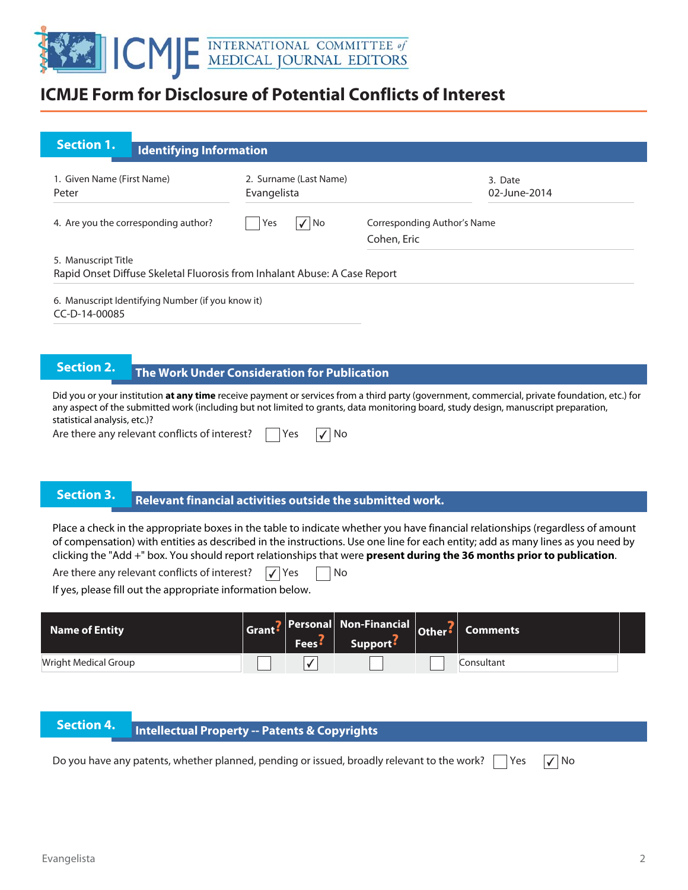

| <b>Section 1.</b>                                                  | <b>Identifying Information</b>                    |                                                                           |                                            |  |  |
|--------------------------------------------------------------------|---------------------------------------------------|---------------------------------------------------------------------------|--------------------------------------------|--|--|
| 1. Given Name (First Name)<br>Peter                                |                                                   | 2. Surname (Last Name)<br>Evangelista                                     | 3. Date<br>02-June-2014                    |  |  |
| 4. Are you the corresponding author?<br> No<br>Yes<br>$\checkmark$ |                                                   |                                                                           | Corresponding Author's Name<br>Cohen, Eric |  |  |
| 5. Manuscript Title                                                |                                                   | Rapid Onset Diffuse Skeletal Fluorosis from Inhalant Abuse: A Case Report |                                            |  |  |
| CC-D-14-00085                                                      | 6. Manuscript Identifying Number (if you know it) |                                                                           |                                            |  |  |

**The Work Under Consideration for Publication** 

Did you or your institution **at any time** receive payment or services from a third party (government, commercial, private foundation, etc.) for any aspect of the submitted work (including but not limited to grants, data monitoring board, study design, manuscript preparation, statistical analysis, etc.)?

Are there any relevant conflicts of interest?  $\Box$  Yes  $\Box$  No

## **Relevant financial activities outside the submitted work. Section 3. Relevant financial activities outset**

Place a check in the appropriate boxes in the table to indicate whether you have financial relationships (regardless of amount of compensation) with entities as described in the instructions. Use one line for each entity; add as many lines as you need by clicking the "Add +" box. You should report relationships that were **present during the 36 months prior to publication**.

Are there any relevant conflicts of interest?  $\sqrt{\ }$  Yes  $\Box$  No

If yes, please fill out the appropriate information below.

| <b>Name of Entity</b> | Fees <sup>:</sup> | Grant? Personal Non-Financial Other? Comments<br>Support <sup>5</sup> |            |  |
|-----------------------|-------------------|-----------------------------------------------------------------------|------------|--|
| Wright Medical Group  |                   |                                                                       | Consultant |  |

# **Intellectual Property -- Patents & Copyrights** Do you have any patents, whether planned, pending or issued, broadly relevant to the work?  $\Box$  Yes  $\Box$  No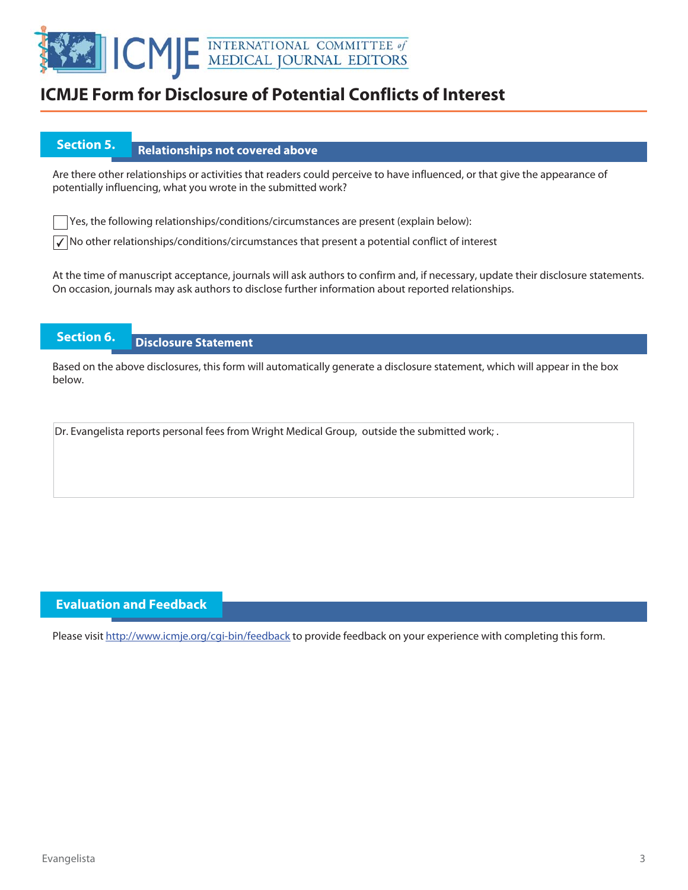

### **Section 5.** Relationships not covered above

Are there other relationships or activities that readers could perceive to have influenced, or that give the appearance of potentially influencing, what you wrote in the submitted work?

Yes, the following relationships/conditions/circumstances are present (explain below):

 $\sqrt{\ }$  No other relationships/conditions/circumstances that present a potential conflict of interest

At the time of manuscript acceptance, journals will ask authors to confirm and, if necessary, update their disclosure statements. On occasion, journals may ask authors to disclose further information about reported relationships.

### **Section 6. Disclosure Statement**

Based on the above disclosures, this form will automatically generate a disclosure statement, which will appear in the box below.

Dr. Evangelista reports personal fees from Wright Medical Group, outside the submitted work; .

### **Evaluation and Feedback**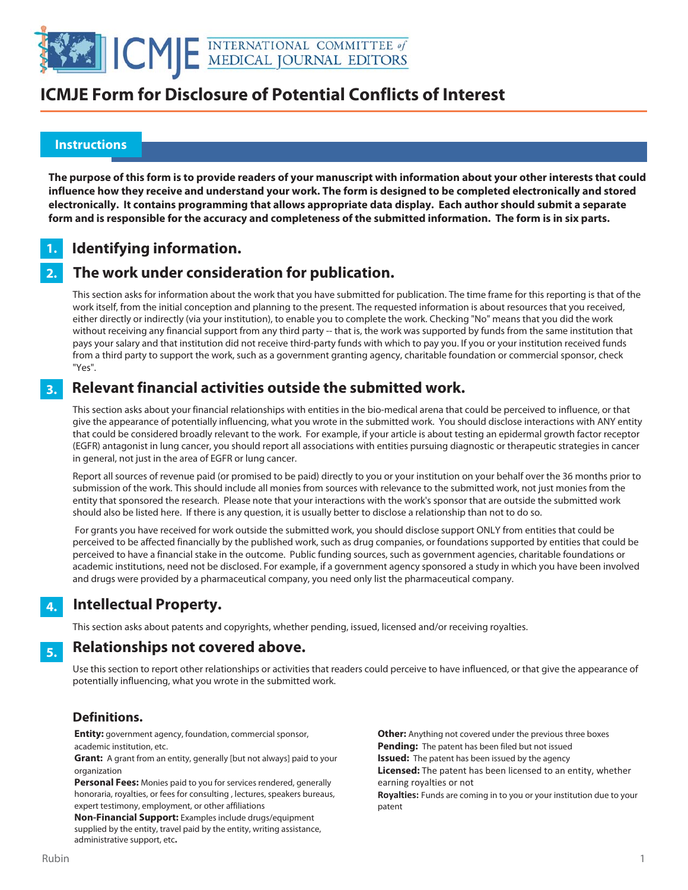

#### **Instructions**

 

> **The purpose of this form is to provide readers of your manuscript with information about your other interests that could influence how they receive and understand your work. The form is designed to be completed electronically and stored electronically. It contains programming that allows appropriate data display. Each author should submit a separate form and is responsible for the accuracy and completeness of the submitted information. The form is in six parts.**

#### **Identifying information. 1.**

#### **The work under consideration for publication. 2.**

This section asks for information about the work that you have submitted for publication. The time frame for this reporting is that of the work itself, from the initial conception and planning to the present. The requested information is about resources that you received, either directly or indirectly (via your institution), to enable you to complete the work. Checking "No" means that you did the work without receiving any financial support from any third party -- that is, the work was supported by funds from the same institution that pays your salary and that institution did not receive third-party funds with which to pay you. If you or your institution received funds from a third party to support the work, such as a government granting agency, charitable foundation or commercial sponsor, check "Yes".

#### **Relevant financial activities outside the submitted work. 3.**

This section asks about your financial relationships with entities in the bio-medical arena that could be perceived to influence, or that give the appearance of potentially influencing, what you wrote in the submitted work. You should disclose interactions with ANY entity that could be considered broadly relevant to the work. For example, if your article is about testing an epidermal growth factor receptor (EGFR) antagonist in lung cancer, you should report all associations with entities pursuing diagnostic or therapeutic strategies in cancer in general, not just in the area of EGFR or lung cancer.

Report all sources of revenue paid (or promised to be paid) directly to you or your institution on your behalf over the 36 months prior to submission of the work. This should include all monies from sources with relevance to the submitted work, not just monies from the entity that sponsored the research. Please note that your interactions with the work's sponsor that are outside the submitted work should also be listed here. If there is any question, it is usually better to disclose a relationship than not to do so.

 For grants you have received for work outside the submitted work, you should disclose support ONLY from entities that could be perceived to be affected financially by the published work, such as drug companies, or foundations supported by entities that could be perceived to have a financial stake in the outcome. Public funding sources, such as government agencies, charitable foundations or academic institutions, need not be disclosed. For example, if a government agency sponsored a study in which you have been involved and drugs were provided by a pharmaceutical company, you need only list the pharmaceutical company.

#### **Intellectual Property. 4.**

This section asks about patents and copyrights, whether pending, issued, licensed and/or receiving royalties.

#### **Relationships not covered above. 5.**

Use this section to report other relationships or activities that readers could perceive to have influenced, or that give the appearance of potentially influencing, what you wrote in the submitted work.

### **Definitions.**

**Entity:** government agency, foundation, commercial sponsor, academic institution, etc.

**Grant:** A grant from an entity, generally [but not always] paid to your organization

**Personal Fees:** Monies paid to you for services rendered, generally honoraria, royalties, or fees for consulting , lectures, speakers bureaus, expert testimony, employment, or other affiliations

**Non-Financial Support:** Examples include drugs/equipment supplied by the entity, travel paid by the entity, writing assistance, administrative support, etc**.**

**Other:** Anything not covered under the previous three boxes **Pending:** The patent has been filed but not issued **Issued:** The patent has been issued by the agency **Licensed:** The patent has been licensed to an entity, whether earning royalties or not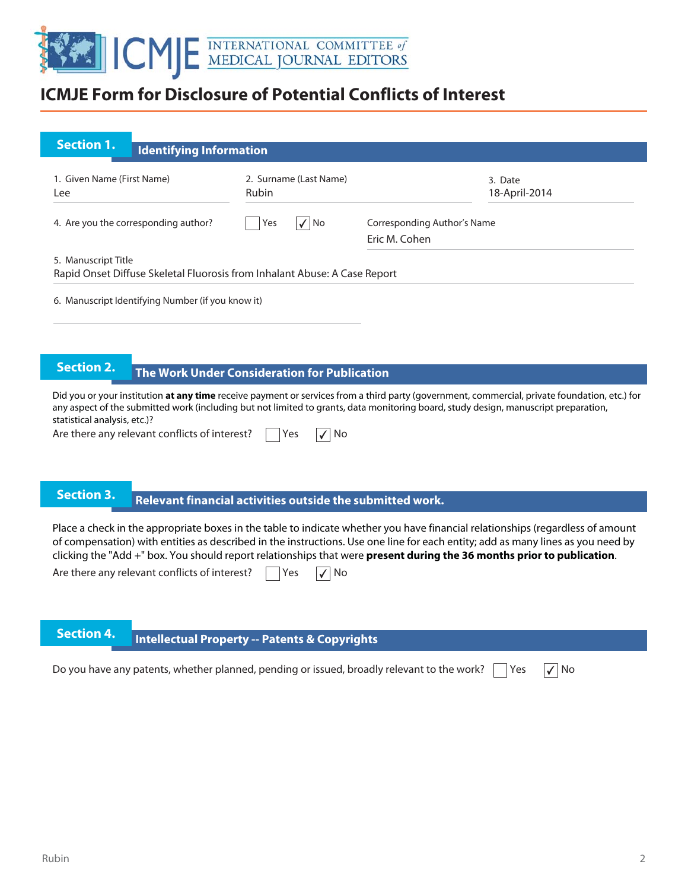

| <b>Section 1.</b>                 | <b>Identifying Information</b>                                            |       |                        |                                                                                                                                     |                                                                                                                                               |
|-----------------------------------|---------------------------------------------------------------------------|-------|------------------------|-------------------------------------------------------------------------------------------------------------------------------------|-----------------------------------------------------------------------------------------------------------------------------------------------|
|                                   |                                                                           |       |                        |                                                                                                                                     |                                                                                                                                               |
| 1. Given Name (First Name)<br>Lee |                                                                           | Rubin | 2. Surname (Last Name) |                                                                                                                                     | 3. Date<br>18-April-2014                                                                                                                      |
|                                   | 4. Are you the corresponding author?                                      | Yes   | $\sqrt{ N_{0}}$        | Corresponding Author's Name                                                                                                         |                                                                                                                                               |
|                                   |                                                                           |       |                        | Eric M. Cohen                                                                                                                       |                                                                                                                                               |
| 5. Manuscript Title               | Rapid Onset Diffuse Skeletal Fluorosis from Inhalant Abuse: A Case Report |       |                        |                                                                                                                                     |                                                                                                                                               |
|                                   | 6. Manuscript Identifying Number (if you know it)                         |       |                        |                                                                                                                                     |                                                                                                                                               |
|                                   |                                                                           |       |                        |                                                                                                                                     |                                                                                                                                               |
| <b>Section 2.</b>                 | <b>The Work Under Consideration for Publication</b>                       |       |                        |                                                                                                                                     |                                                                                                                                               |
|                                   |                                                                           |       |                        | any aspect of the submitted work (including but not limited to grants, data monitoring board, study design, manuscript preparation, | Did you or your institution at any time receive payment or services from a third party (government, commercial, private foundation, etc.) for |

## **Relevant financial activities outside the submitted work. Section 3. Relevant financial activities outset**

Place a check in the appropriate boxes in the table to indicate whether you have financial relationships (regardless of amount of compensation) with entities as described in the instructions. Use one line for each entity; add as many lines as you need by clicking the "Add +" box. You should report relationships that were **present during the 36 months prior to publication**.

Are there any relevant conflicts of interest?  $\Box$  Yes  $\Box$  No

Are there any relevant conflicts of interest?  $\Box$  Yes  $\Box$  No

statistical analysis, etc.)?

## **Intellectual Property -- Patents & Copyrights**

Do you have any patents, whether planned, pending or issued, broadly relevant to the work?  $\Box$  Yes  $\Box$  No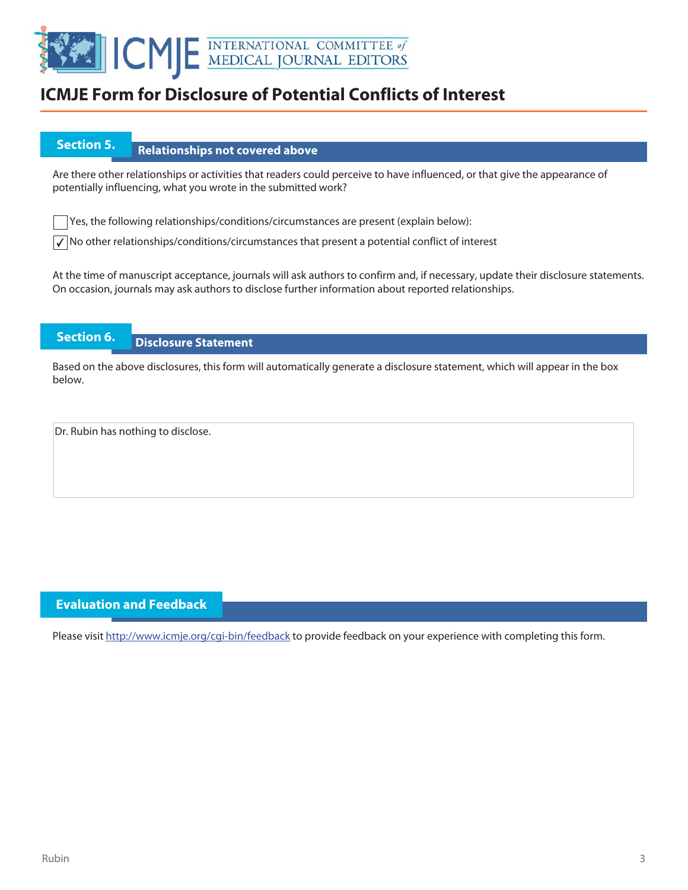

### **Section 5.** Relationships not covered above

Are there other relationships or activities that readers could perceive to have influenced, or that give the appearance of potentially influencing, what you wrote in the submitted work?

Yes, the following relationships/conditions/circumstances are present (explain below):

 $\sqrt{\ }$  No other relationships/conditions/circumstances that present a potential conflict of interest

At the time of manuscript acceptance, journals will ask authors to confirm and, if necessary, update their disclosure statements. On occasion, journals may ask authors to disclose further information about reported relationships.

### **Section 6. Disclosure Statement**

Based on the above disclosures, this form will automatically generate a disclosure statement, which will appear in the box below.

Dr. Rubin has nothing to disclose.

### **Evaluation and Feedback**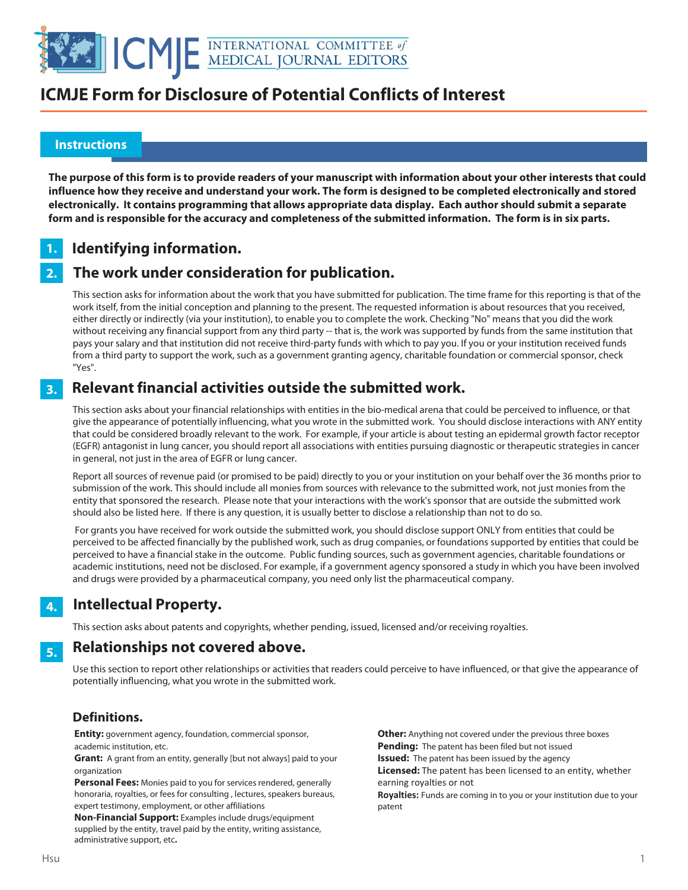

#### **Instructions**

 

> **The purpose of this form is to provide readers of your manuscript with information about your other interests that could influence how they receive and understand your work. The form is designed to be completed electronically and stored electronically. It contains programming that allows appropriate data display. Each author should submit a separate form and is responsible for the accuracy and completeness of the submitted information. The form is in six parts.**

#### **Identifying information. 1.**

#### **The work under consideration for publication. 2.**

This section asks for information about the work that you have submitted for publication. The time frame for this reporting is that of the work itself, from the initial conception and planning to the present. The requested information is about resources that you received, either directly or indirectly (via your institution), to enable you to complete the work. Checking "No" means that you did the work without receiving any financial support from any third party -- that is, the work was supported by funds from the same institution that pays your salary and that institution did not receive third-party funds with which to pay you. If you or your institution received funds from a third party to support the work, such as a government granting agency, charitable foundation or commercial sponsor, check "Yes".

#### **Relevant financial activities outside the submitted work. 3.**

This section asks about your financial relationships with entities in the bio-medical arena that could be perceived to influence, or that give the appearance of potentially influencing, what you wrote in the submitted work. You should disclose interactions with ANY entity that could be considered broadly relevant to the work. For example, if your article is about testing an epidermal growth factor receptor (EGFR) antagonist in lung cancer, you should report all associations with entities pursuing diagnostic or therapeutic strategies in cancer in general, not just in the area of EGFR or lung cancer.

Report all sources of revenue paid (or promised to be paid) directly to you or your institution on your behalf over the 36 months prior to submission of the work. This should include all monies from sources with relevance to the submitted work, not just monies from the entity that sponsored the research. Please note that your interactions with the work's sponsor that are outside the submitted work should also be listed here. If there is any question, it is usually better to disclose a relationship than not to do so.

 For grants you have received for work outside the submitted work, you should disclose support ONLY from entities that could be perceived to be affected financially by the published work, such as drug companies, or foundations supported by entities that could be perceived to have a financial stake in the outcome. Public funding sources, such as government agencies, charitable foundations or academic institutions, need not be disclosed. For example, if a government agency sponsored a study in which you have been involved and drugs were provided by a pharmaceutical company, you need only list the pharmaceutical company.

#### **Intellectual Property. 4.**

This section asks about patents and copyrights, whether pending, issued, licensed and/or receiving royalties.

#### **Relationships not covered above. 5.**

Use this section to report other relationships or activities that readers could perceive to have influenced, or that give the appearance of potentially influencing, what you wrote in the submitted work.

### **Definitions.**

**Entity:** government agency, foundation, commercial sponsor, academic institution, etc.

**Grant:** A grant from an entity, generally [but not always] paid to your organization

**Personal Fees:** Monies paid to you for services rendered, generally honoraria, royalties, or fees for consulting , lectures, speakers bureaus, expert testimony, employment, or other affiliations

**Non-Financial Support:** Examples include drugs/equipment supplied by the entity, travel paid by the entity, writing assistance, administrative support, etc**.**

**Other:** Anything not covered under the previous three boxes **Pending:** The patent has been filed but not issued **Issued:** The patent has been issued by the agency **Licensed:** The patent has been licensed to an entity, whether earning royalties or not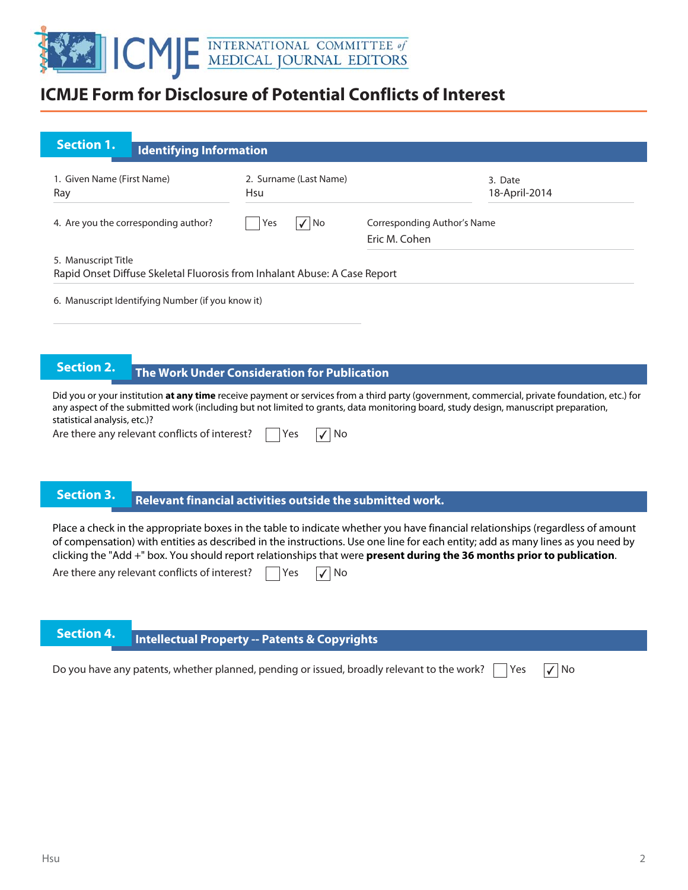

| <b>Section 1.</b><br><b>Identifying Information</b><br>1. Given Name (First Name)<br>Ray                                                              | 2. Surname (Last Name)<br>Hsu                       | 3. Date<br>18-April-2014                     |
|-------------------------------------------------------------------------------------------------------------------------------------------------------|-----------------------------------------------------|----------------------------------------------|
| 4. Are you the corresponding author?                                                                                                                  | $\sqrt{N}$<br>Yes                                   | Corresponding Author's Name<br>Eric M. Cohen |
| 5. Manuscript Title<br>Rapid Onset Diffuse Skeletal Fluorosis from Inhalant Abuse: A Case Report<br>6. Manuscript Identifying Number (if you know it) |                                                     |                                              |
| <b>Section 2.</b>                                                                                                                                     | <b>The Work Under Consideration for Publication</b> |                                              |

Did you or your institution **at any time** receive payment or services from a third party (government, commercial, private foundation, etc.) for any aspect of the submitted work (including but not limited to grants, data monitoring board, study design, manuscript preparation, statistical analysis, etc.)?

| Are there any relevant conflicts of interest? |  | <b>Yes</b> |  | $\sqrt{}$ No |
|-----------------------------------------------|--|------------|--|--------------|
|-----------------------------------------------|--|------------|--|--------------|

## **Relevant financial activities outside the submitted work. Section 3. Relevant financial activities outset**

Place a check in the appropriate boxes in the table to indicate whether you have financial relationships (regardless of amount of compensation) with entities as described in the instructions. Use one line for each entity; add as many lines as you need by clicking the "Add +" box. You should report relationships that were **present during the 36 months prior to publication**.

|  | Are there any relevant conflicts of interest? |  | Yes |  | $\sqrt{\ }$ No |
|--|-----------------------------------------------|--|-----|--|----------------|
|--|-----------------------------------------------|--|-----|--|----------------|

## **Intellectual Property -- Patents & Copyrights**

|  |  | Do you have any patents, whether planned, pending or issued, broadly relevant to the work? $\Box$ Yes $\Box$ No |
|--|--|-----------------------------------------------------------------------------------------------------------------|
|--|--|-----------------------------------------------------------------------------------------------------------------|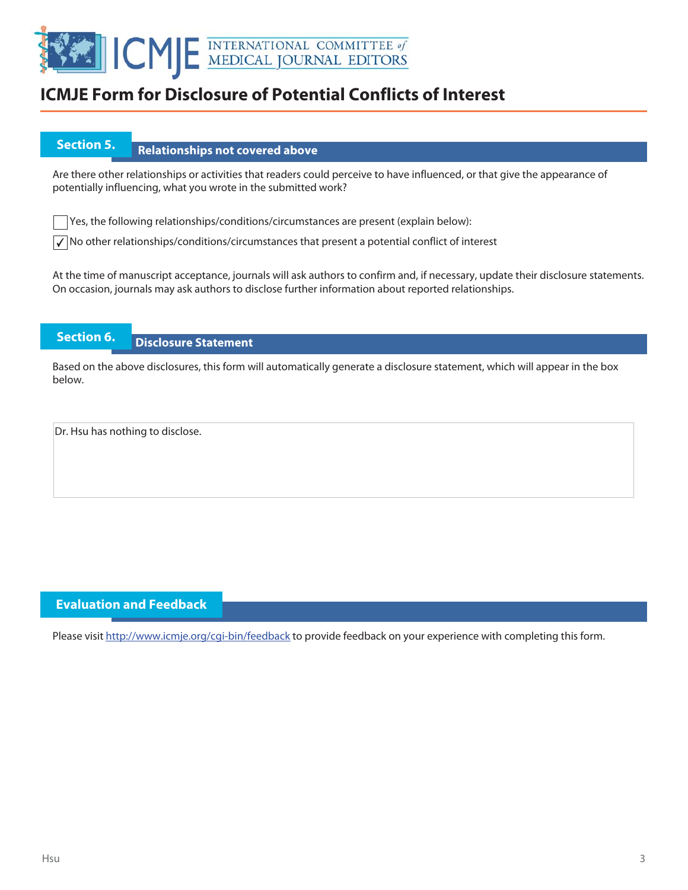

### **Section 5.** Relationships not covered above

Are there other relationships or activities that readers could perceive to have influenced, or that give the appearance of potentially influencing, what you wrote in the submitted work?

Yes, the following relationships/conditions/circumstances are present (explain below):

 $\sqrt{\ }$  No other relationships/conditions/circumstances that present a potential conflict of interest

At the time of manuscript acceptance, journals will ask authors to confirm and, if necessary, update their disclosure statements. On occasion, journals may ask authors to disclose further information about reported relationships.

### **Section 6. Disclosure Statement**

Based on the above disclosures, this form will automatically generate a disclosure statement, which will appear in the box below.

Dr. Hsu has nothing to disclose.

### **Evaluation and Feedback**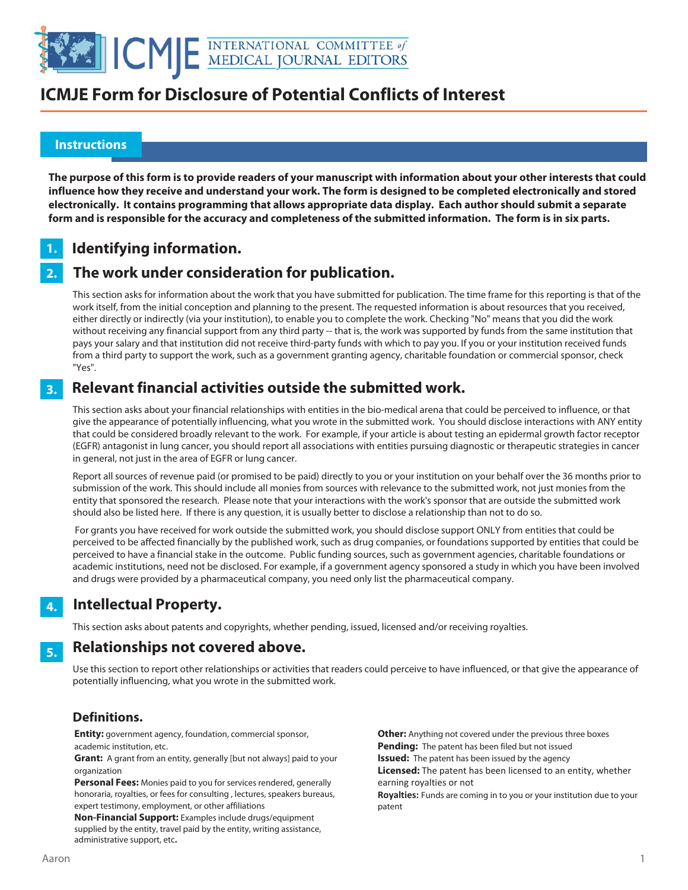

#### **Instructions**

 

> **The purpose of this form is to provide readers of your manuscript with information about your other interests that could influence how they receive and understand your work. The form is designed to be completed electronically and stored electronically. It contains programming that allows appropriate data display. Each author should submit a separate form and is responsible for the accuracy and completeness of the submitted information. The form is in six parts.**

#### **Identifying information. 1.**

#### **The work under consideration for publication. 2.**

This section asks for information about the work that you have submitted for publication. The time frame for this reporting is that of the work itself, from the initial conception and planning to the present. The requested information is about resources that you received, either directly or indirectly (via your institution), to enable you to complete the work. Checking "No" means that you did the work without receiving any financial support from any third party -- that is, the work was supported by funds from the same institution that pays your salary and that institution did not receive third-party funds with which to pay you. If you or your institution received funds from a third party to support the work, such as a government granting agency, charitable foundation or commercial sponsor, check "Yes".

#### **Relevant financial activities outside the submitted work. 3.**

This section asks about your financial relationships with entities in the bio-medical arena that could be perceived to influence, or that give the appearance of potentially influencing, what you wrote in the submitted work. You should disclose interactions with ANY entity that could be considered broadly relevant to the work. For example, if your article is about testing an epidermal growth factor receptor (EGFR) antagonist in lung cancer, you should report all associations with entities pursuing diagnostic or therapeutic strategies in cancer in general, not just in the area of EGFR or lung cancer.

Report all sources of revenue paid (or promised to be paid) directly to you or your institution on your behalf over the 36 months prior to submission of the work. This should include all monies from sources with relevance to the submitted work, not just monies from the entity that sponsored the research. Please note that your interactions with the work's sponsor that are outside the submitted work should also be listed here. If there is any question, it is usually better to disclose a relationship than not to do so.

 For grants you have received for work outside the submitted work, you should disclose support ONLY from entities that could be perceived to be affected financially by the published work, such as drug companies, or foundations supported by entities that could be perceived to have a financial stake in the outcome. Public funding sources, such as government agencies, charitable foundations or academic institutions, need not be disclosed. For example, if a government agency sponsored a study in which you have been involved and drugs were provided by a pharmaceutical company, you need only list the pharmaceutical company.

#### **Intellectual Property. 4.**

This section asks about patents and copyrights, whether pending, issued, licensed and/or receiving royalties.

#### **Relationships not covered above. 5.**

Use this section to report other relationships or activities that readers could perceive to have influenced, or that give the appearance of potentially influencing, what you wrote in the submitted work.

### **Definitions.**

**Entity:** government agency, foundation, commercial sponsor, academic institution, etc.

**Grant:** A grant from an entity, generally [but not always] paid to your organization

**Personal Fees:** Monies paid to you for services rendered, generally honoraria, royalties, or fees for consulting , lectures, speakers bureaus, expert testimony, employment, or other affiliations

**Non-Financial Support:** Examples include drugs/equipment supplied by the entity, travel paid by the entity, writing assistance, administrative support, etc**.**

**Other:** Anything not covered under the previous three boxes **Pending:** The patent has been filed but not issued **Issued:** The patent has been issued by the agency **Licensed:** The patent has been licensed to an entity, whether earning royalties or not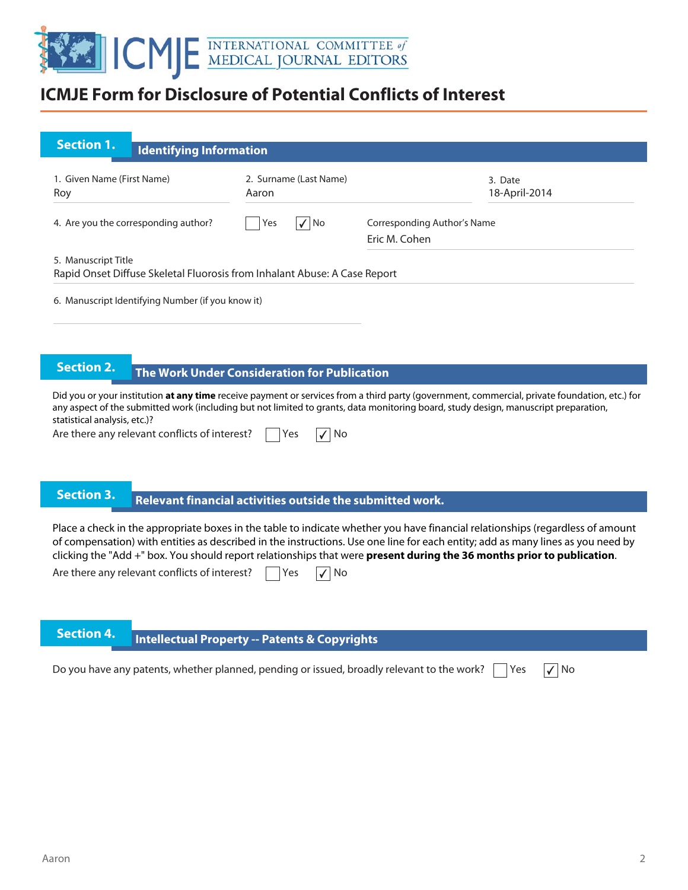

| <b>Section 1.</b>                 | <b>Identifying Information</b>                    |                                                                           |                                              |
|-----------------------------------|---------------------------------------------------|---------------------------------------------------------------------------|----------------------------------------------|
| 1. Given Name (First Name)<br>Roy |                                                   | 2. Surname (Last Name)<br>Aaron                                           | 3. Date<br>18-April-2014                     |
|                                   | 4. Are you the corresponding author?              | $\sqrt{ NQ}$<br>Yes                                                       | Corresponding Author's Name<br>Eric M. Cohen |
| 5. Manuscript Title               |                                                   | Rapid Onset Diffuse Skeletal Fluorosis from Inhalant Abuse: A Case Report |                                              |
|                                   | 6. Manuscript Identifying Number (if you know it) |                                                                           |                                              |
|                                   |                                                   |                                                                           |                                              |
| <b>Section 2.</b>                 |                                                   | <b>The Work Under Consideration for Publication</b>                       |                                              |

Did you or your institution **at any time** receive payment or services from a third party (government, commercial, private foundation, etc.) for any aspect of the submitted work (including but not limited to grants, data monitoring board, study design, manuscript preparation, statistical analysis, etc.)?

| Are there any relevant conflicts of interest? |  | <b>Yes</b> |  | $\sqrt{}$ No |
|-----------------------------------------------|--|------------|--|--------------|
|-----------------------------------------------|--|------------|--|--------------|

## **Relevant financial activities outside the submitted work. Section 3. Relevant financial activities outset**

Place a check in the appropriate boxes in the table to indicate whether you have financial relationships (regardless of amount of compensation) with entities as described in the instructions. Use one line for each entity; add as many lines as you need by clicking the "Add +" box. You should report relationships that were **present during the 36 months prior to publication**.

|  | Are there any relevant conflicts of interest? |  | Yes |  | $\sqrt{\ }$ No |
|--|-----------------------------------------------|--|-----|--|----------------|
|--|-----------------------------------------------|--|-----|--|----------------|

## **Intellectual Property -- Patents & Copyrights**

Do you have any patents, whether planned, pending or issued, broadly relevant to the work?  $\Box$  Yes  $\Box$  No